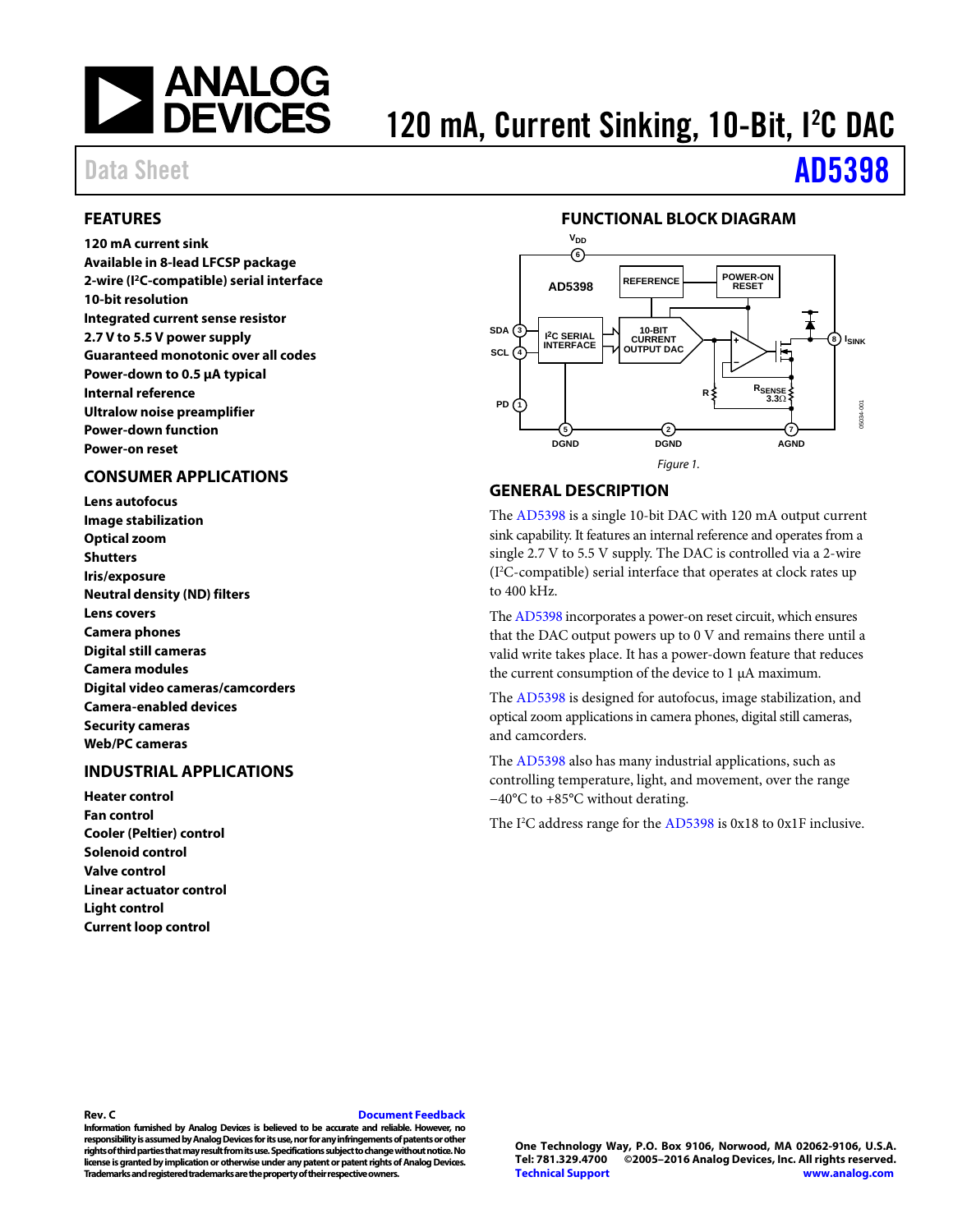

# 120 mA, Current Sinking, 10-Bit, I<sup>2</sup>C DAC

# Data Sheet **[AD5398](http://www.analog.com/AD5398?doc=AD5398.pdf)**

### <span id="page-0-0"></span>**FEATURES**

**120 mA current sink Available in 8-lead LFCSP package 2-wire (I2C-compatible) serial interface 10-bit resolution Integrated current sense resistor 2.7 V to 5.5 V power supply Guaranteed monotonic over all codes Power-down to 0.5 µA typical Internal reference Ultralow noise preamplifier Power-down function Power-on reset**

### <span id="page-0-1"></span>**CONSUMER APPLICATIONS**

**Lens autofocus Image stabilization Optical zoom Shutters Iris/exposure Neutral density (ND) filters Lens covers Camera phones Digital still cameras Camera modules Digital video cameras/camcorders Camera-enabled devices Security cameras Web/PC cameras**

### <span id="page-0-2"></span>**INDUSTRIAL APPLICATIONS**

**Heater control Fan control Cooler (Peltier) control Solenoid control Valve control Linear actuator control Light control Current loop control**

### **FUNCTIONAL BLOCK DIAGRAM**

<span id="page-0-3"></span>

### **GENERAL DESCRIPTION**

The [AD5398](http://www.analog.com/AD5398?doc=AD5398.pdf) is a single 10-bit DAC with 120 mA output current sink capability. It features an internal reference and operates from a single 2.7 V to 5.5 V supply. The DAC is controlled via a 2-wire (I2 C-compatible) serial interface that operates at clock rates up to 400 kHz.

Th[e AD5398](http://www.analog.com/AD5398?doc=AD5398.pdf) incorporates a power-on reset circuit, which ensures that the DAC output powers up to 0 V and remains there until a valid write takes place. It has a power-down feature that reduces the current consumption of the device to 1 µA maximum.

The [AD5398](http://www.analog.com/AD5398?doc=AD5398.pdf) is designed for autofocus, image stabilization, and optical zoom applications in camera phones, digital still cameras, and camcorders.

The [AD5398](http://www.analog.com/AD5398?doc=AD5398.pdf) also has many industrial applications, such as controlling temperature, light, and movement, over the range −40°C to +85°C without derating.

The I<sup>2</sup>C address range for th[e AD5398](http://www.analog.com/AD5398?doc=AD5398.pdf) is 0x18 to 0x1F inclusive.

#### **Rev. C [Document Feedback](https://form.analog.com/Form_Pages/feedback/documentfeedback.aspx?doc=AD5398.pdf&product=AD5398&rev=C)**

**Information furnished by Analog Devices is believed to be accurate and reliable. However, no responsibility is assumed by Analog Devices for its use, nor for any infringements of patents or other rights of third parties that may result from its use. Specifications subject to change without notice. No license is granted by implication or otherwise under any patent or patent rights of Analog Devices. Trademarks and registered trademarks are the property of their respective owners.**

**One Technology Way, P.O. Box 9106, Norwood, MA 02062-9106, U.S.A. Tel: 781.329.4700 ©2005–2016 Analog Devices, Inc. All rights reserved. [Technical Support](http://www.analog.com/en/content/technical_support_page/fca.html) [www.analog.com](http://www.analog.com/)**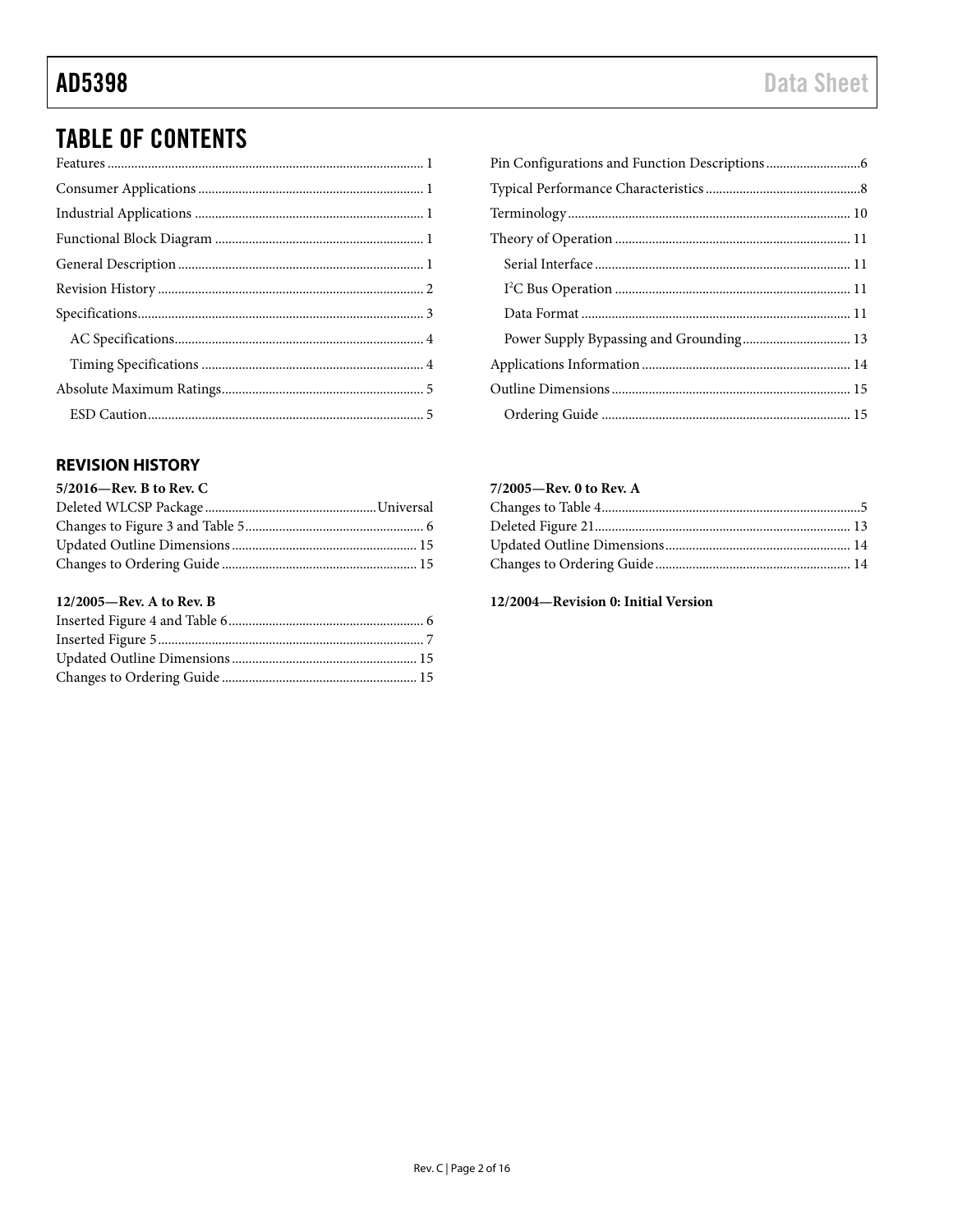## **TABLE OF CONTENTS**

### <span id="page-1-0"></span>**REVISION HISTORY**

| $5/2016$ —Rev. B to Rev. C |  |
|----------------------------|--|
|                            |  |
|                            |  |
|                            |  |
|                            |  |
|                            |  |

### 12/2005-Rev. A to Rev. B

### 7/2005-Rev. 0 to Rev. A

### 12/2004-Revision 0: Initial Version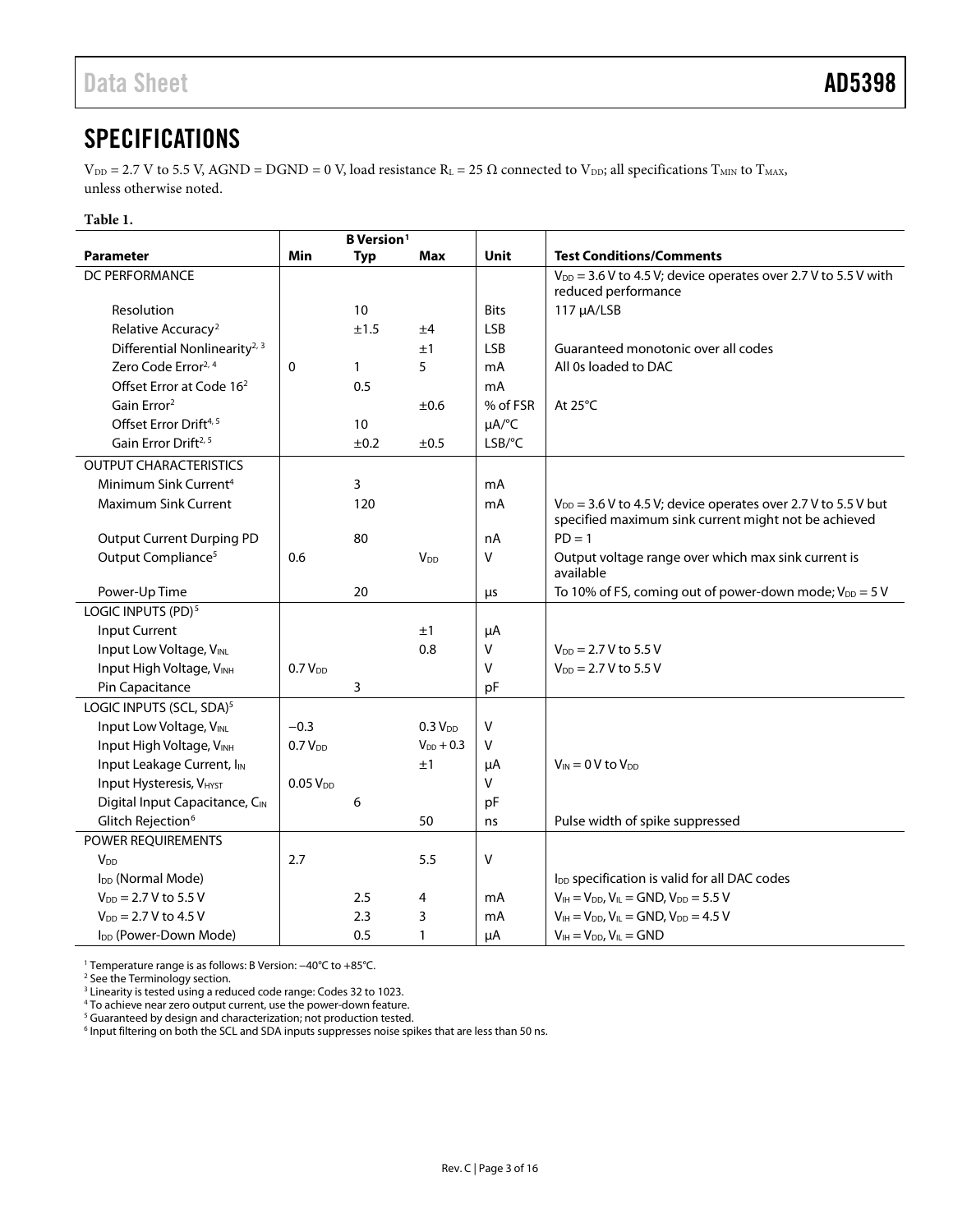### <span id="page-2-0"></span>**SPECIFICATIONS**

 $V_{DD} = 2.7$  V to 5.5 V, AGND = DGND = 0 V, load resistance R<sub>L</sub> = 25  $\Omega$  connected to V<sub>DD</sub>; all specifications T<sub>MIN</sub> to T<sub>MAX</sub>, unless otherwise noted.

### **Table 1.**

|                                           | <b>B</b> Version <sup>1</sup> |              |                        |             |                                                                                                                            |
|-------------------------------------------|-------------------------------|--------------|------------------------|-------------|----------------------------------------------------------------------------------------------------------------------------|
| Parameter                                 | Min                           | <b>Typ</b>   | Max                    | Unit        | <b>Test Conditions/Comments</b>                                                                                            |
| DC PERFORMANCE                            |                               |              |                        |             | $V_{DD}$ = 3.6 V to 4.5 V; device operates over 2.7 V to 5.5 V with                                                        |
|                                           |                               |              |                        |             | reduced performance                                                                                                        |
| Resolution                                |                               | 10           |                        | <b>Bits</b> | 117 µA/LSB                                                                                                                 |
| Relative Accuracy <sup>2</sup>            |                               | ±1.5         | ±4                     | <b>LSB</b>  |                                                                                                                            |
| Differential Nonlinearity <sup>2, 3</sup> |                               |              | ±1                     | <b>LSB</b>  | Guaranteed monotonic over all codes                                                                                        |
| Zero Code Error <sup>2, 4</sup>           | 0                             | $\mathbf{1}$ | 5                      | mA          | All 0s loaded to DAC                                                                                                       |
| Offset Error at Code 16 <sup>2</sup>      |                               | 0.5          |                        | mA          |                                                                                                                            |
| Gain Error <sup>2</sup>                   |                               |              | ±0.6                   | % of FSR    | At 25°C                                                                                                                    |
| Offset Error Drift <sup>4, 5</sup>        |                               | 10           |                        | µA/°C       |                                                                                                                            |
| Gain Error Drift <sup>2, 5</sup>          |                               | ±0.2         | $\pm 0.5$              | LSB/°C      |                                                                                                                            |
| <b>OUTPUT CHARACTERISTICS</b>             |                               |              |                        |             |                                                                                                                            |
| Minimum Sink Current <sup>4</sup>         |                               | 3            |                        | mA          |                                                                                                                            |
| <b>Maximum Sink Current</b>               |                               | 120          |                        | mA          | $V_{DD}$ = 3.6 V to 4.5 V; device operates over 2.7 V to 5.5 V but<br>specified maximum sink current might not be achieved |
| <b>Output Current Durping PD</b>          |                               | 80           |                        | nA          | $PD = 1$                                                                                                                   |
| Output Compliance <sup>5</sup>            | 0.6                           |              | <b>V</b> <sub>DD</sub> | v           | Output voltage range over which max sink current is<br>available                                                           |
| Power-Up Time                             |                               | 20           |                        | μs          | To 10% of FS, coming out of power-down mode; $V_{DD} = 5 V$                                                                |
| LOGIC INPUTS (PD) <sup>5</sup>            |                               |              |                        |             |                                                                                                                            |
| Input Current                             |                               |              | ±1                     | μA          |                                                                                                                            |
| Input Low Voltage, VINL                   |                               |              | 0.8                    | V           | $V_{DD} = 2.7 V$ to 5.5 V                                                                                                  |
| Input High Voltage, VINH                  | 0.7V <sub>DD</sub>            |              |                        | V           | $V_{DD} = 2.7 V$ to 5.5 V                                                                                                  |
| Pin Capacitance                           |                               | 3            |                        | pF          |                                                                                                                            |
| LOGIC INPUTS (SCL, SDA) <sup>5</sup>      |                               |              |                        |             |                                                                                                                            |
| Input Low Voltage, VINL                   | $-0.3$                        |              | $0.3 V_{DD}$           | $\sf V$     |                                                                                                                            |
| Input High Voltage, VINH                  | 0.7V <sub>DD</sub>            |              | $V_{DD}$ + 0.3         | V           |                                                                                                                            |
| Input Leakage Current, I <sub>IN</sub>    |                               |              | ±1                     | μA          | $V_{IN} = 0 V$ to $V_{DD}$                                                                                                 |
| <b>Input Hysteresis, VHYST</b>            | 0.05V <sub>DD</sub>           |              |                        | V           |                                                                                                                            |
| Digital Input Capacitance, CIN            |                               | 6            |                        | pF          |                                                                                                                            |
| Glitch Rejection <sup>6</sup>             |                               |              | 50                     | ns          | Pulse width of spike suppressed                                                                                            |
| POWER REQUIREMENTS                        |                               |              |                        |             |                                                                                                                            |
| V <sub>DD</sub>                           | 2.7                           |              | 5.5                    | V           |                                                                                                                            |
| I <sub>DD</sub> (Normal Mode)             |                               |              |                        |             | l <sub>DD</sub> specification is valid for all DAC codes                                                                   |
| $V_{DD} = 2.7 V$ to 5.5 V                 |                               | 2.5          | 4                      | mA          | $V_{IH} = V_{DD}$ , $V_{IL} = GND$ , $V_{DD} = 5.5$ V                                                                      |
| $V_{DD} = 2.7 V$ to 4.5 V                 |                               | 2.3          | 3                      | mA          | $V_{IH} = V_{DD}$ , $V_{IL} = GND$ , $V_{DD} = 4.5$ V                                                                      |
| I <sub>DD</sub> (Power-Down Mode)         |                               | 0.5          | $\mathbf{1}$           | μA          | $V_{IH} = V_{DD}$ , $V_{IL} = GND$                                                                                         |

<sup>1</sup> Temperature range is as follows: B Version: −40°C to +85°C.

<sup>2</sup> See th[e Terminology](#page-9-0) section.

<sup>3</sup> Linearity is tested using a reduced code range: Codes 32 to 1023.

<sup>4</sup> To achieve near zero output current, use the power-down feature.

<sup>5</sup> Guaranteed by design and characterization; not production tested.

<sup>6</sup> Input filtering on both the SCL and SDA inputs suppresses noise spikes that are less than 50 ns.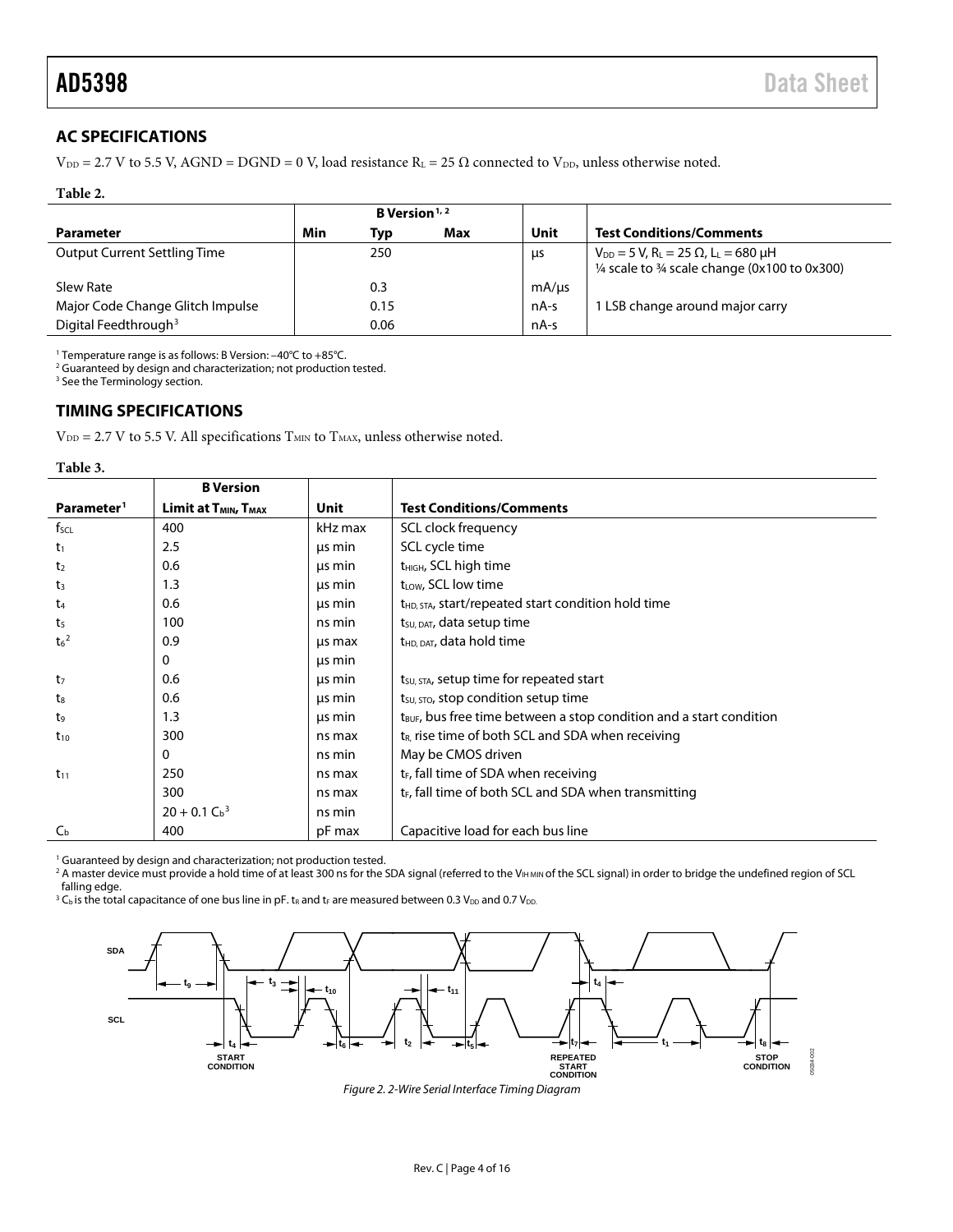### <span id="page-3-0"></span>**AC SPECIFICATIONS**

 $V_{DD}$  = 2.7 V to 5.5 V, AGND = DGND = 0 V, load resistance R<sub>L</sub> = 25  $\Omega$  connected to V<sub>DD</sub>, unless otherwise noted.

#### **Table 2.**

|                                     | <b>B</b> Version <sup><math>1, 2</math></sup> |      |     |            |                                                                                                                                               |
|-------------------------------------|-----------------------------------------------|------|-----|------------|-----------------------------------------------------------------------------------------------------------------------------------------------|
| <b>Parameter</b>                    | Min                                           | Typ  | Max | Unit       | <b>Test Conditions/Comments</b>                                                                                                               |
| <b>Output Current Settling Time</b> |                                               | 250  |     | <b>LIS</b> | $V_{DD} = 5 V$ , R <sub>L</sub> = 25 $\Omega$ , L <sub>L</sub> = 680 µH<br>$\frac{1}{4}$ scale to $\frac{3}{4}$ scale change (0x100 to 0x300) |
| Slew Rate                           |                                               | 0.3  |     | mA/µs      |                                                                                                                                               |
| Major Code Change Glitch Impulse    |                                               | 0.15 |     | nA-s       | 1 LSB change around major carry                                                                                                               |
| Digital Feedthrough <sup>3</sup>    |                                               | 0.06 |     | nA-s       |                                                                                                                                               |

<sup>1</sup> Temperature range is as follows: B Version: –40°C to +85°C.

<sup>2</sup> Guaranteed by design and characterization; not production tested.

<sup>3</sup> See th[e Terminology](#page-9-0) section.

### <span id="page-3-1"></span>**TIMING SPECIFICATIONS**

 $\mathrm{V_{\textrm{DD}}}\xspace = 2.7$  V to 5.5 V. All specifications  $\mathrm{T_{MIN}}$  to  $\mathrm{T_{MAX}}$  unless otherwise noted.

**Table 3.**

|                        | <b>B</b> Version                             |         |                                                                                 |  |  |  |  |  |  |
|------------------------|----------------------------------------------|---------|---------------------------------------------------------------------------------|--|--|--|--|--|--|
| Parameter <sup>1</sup> | Limit at T <sub>MIN</sub> , T <sub>MAX</sub> | Unit    | <b>Test Conditions/Comments</b>                                                 |  |  |  |  |  |  |
| $f_{\text{SCL}}$       | 400                                          | kHz max | SCL clock frequency                                                             |  |  |  |  |  |  |
| $t_1$                  | 2.5                                          | us min  | SCL cycle time                                                                  |  |  |  |  |  |  |
| t <sub>2</sub>         | 0.6                                          | us min  | t <sub>HIGH</sub> , SCL high time                                               |  |  |  |  |  |  |
| $t_3$                  | 1.3                                          | us min  | t <sub>LOW</sub> , SCL low time                                                 |  |  |  |  |  |  |
| $t_{4}$                | 0.6                                          | us min  | t <sub>HD, STA</sub> , start/repeated start condition hold time                 |  |  |  |  |  |  |
| t <sub>5</sub>         | 100                                          | ns min  | t <sub>su, DAT</sub> , data setup time                                          |  |  |  |  |  |  |
| $t_6{}^2$              | 0.9                                          | us max  | t <sub>HD, DAT</sub> , data hold time                                           |  |  |  |  |  |  |
|                        | 0                                            | us min  |                                                                                 |  |  |  |  |  |  |
| t <sub>7</sub>         | 0.6                                          | us min  | t <sub>su, STA</sub> , setup time for repeated start                            |  |  |  |  |  |  |
| ts                     | 0.6                                          | μs min  | t <sub>su, stop</sub> condition setup time                                      |  |  |  |  |  |  |
| t <sub>9</sub>         | 1.3                                          | μs min  | t <sub>BUF</sub> , bus free time between a stop condition and a start condition |  |  |  |  |  |  |
| $t_{10}$               | 300                                          | ns max  | $t_{R}$ , rise time of both SCL and SDA when receiving                          |  |  |  |  |  |  |
|                        | 0                                            | ns min  | May be CMOS driven                                                              |  |  |  |  |  |  |
| $t_{11}$               | 250                                          | ns max  | t <sub>E</sub> , fall time of SDA when receiving                                |  |  |  |  |  |  |
|                        | 300                                          | ns max  | $t_F$ , fall time of both SCL and SDA when transmitting                         |  |  |  |  |  |  |
|                        | $20 + 0.1 C_b^3$                             | ns min  |                                                                                 |  |  |  |  |  |  |
| $C_{\rm b}$            | 400                                          | pF max  | Capacitive load for each bus line                                               |  |  |  |  |  |  |

<sup>1</sup> Guaranteed by design and characterization; not production tested.

<sup>2</sup> A master device must provide a hold time of at least 300 ns for the SDA signal (referred to the VIH MIN of the SCL signal) in order to bridge the undefined region of SCL falling edge.

<sup>3</sup> C<sub>b</sub> is the total capacitance of one bus line in pF. t<sub>R</sub> and t<sub>F</sub> are measured between 0.3 V<sub>DD</sub> and 0.7 V<sub>DD</sub>.



*Figure 2. 2-Wire Serial Interface Timing Diagram*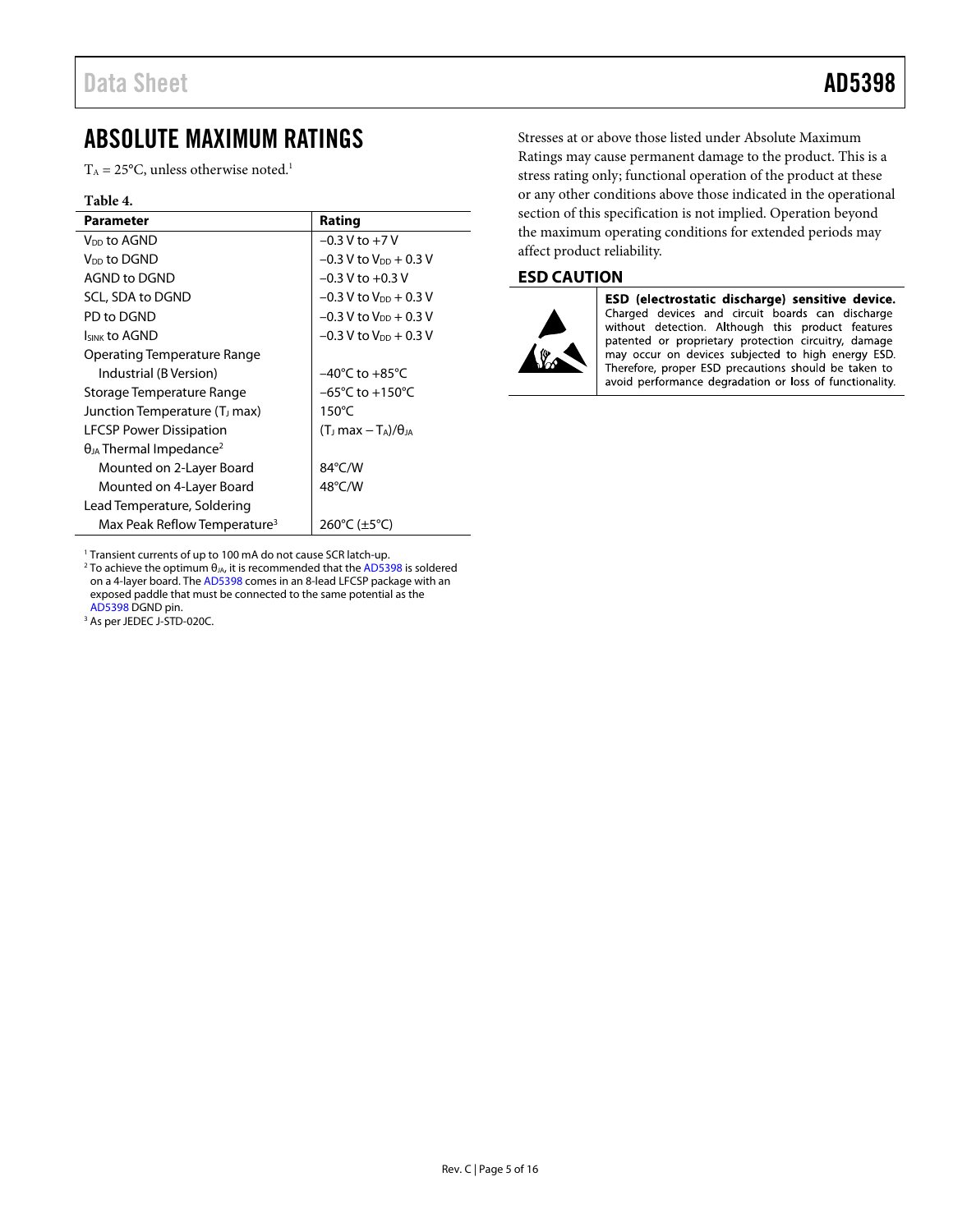### <span id="page-4-0"></span>ABSOLUTE MAXIMUM RATINGS

 $T_A = 25$ °C, unless otherwise noted.<sup>1</sup>

#### **Table 4.**

| <b>Parameter</b>                             | Rating                               |
|----------------------------------------------|--------------------------------------|
| V <sub>DD</sub> to AGND                      | $-0.3 V$ to $+7 V$                   |
| V <sub>DD</sub> to DGND                      | $-0.3$ V to V <sub>DD</sub> $+0.3$ V |
| AGND to DGND                                 | $-0.3$ V to $+0.3$ V                 |
| SCL, SDA to DGND                             | $-0.3$ V to V <sub>DD</sub> $+0.3$ V |
| PD to DGND                                   | $-0.3$ V to V <sub>DD</sub> $+0.3$ V |
| <b>ISINK to AGND</b>                         | $-0.3$ V to V <sub>DD</sub> $+0.3$ V |
| Operating Temperature Range                  |                                      |
| Industrial (B Version)                       | $-40^{\circ}$ C to $+85^{\circ}$ C   |
| Storage Temperature Range                    | $-65^{\circ}$ C to $+150^{\circ}$ C  |
| Junction Temperature (T <sub>J</sub> max)    | $150^{\circ}$ C                      |
| <b>LFCSP Power Dissipation</b>               | $(T_1 \text{max} - T_A)/\theta_{IA}$ |
| $\theta_{JA}$ Thermal Impedance <sup>2</sup> |                                      |
| Mounted on 2-Layer Board                     | 84°C/W                               |
| Mounted on 4-Layer Board                     | $48^{\circ}$ C/W                     |
| Lead Temperature, Soldering                  |                                      |
| Max Peak Reflow Temperature <sup>3</sup>     | 260°C ( $\pm$ 5°C)                   |

<sup>1</sup> Transient currents of up to 100 mA do not cause SCR latch-up.

<sup>1</sup> Transient currents of up to 100 mA do not cause SCR latch-up.<br><sup>2</sup> To achieve the optimum θ<sub>JA</sub>, it is recommended that th[e AD5398 i](http://www.analog.com/AD5398?doc=AD5398.pdf)s soldered on a 4-layer board. Th[e AD5398 c](http://www.analog.com/AD5398?doc=AD5398.pdf)omes in an 8-lead LFCSP package with an exposed paddle that must be connected to the same potential as the [AD5398 D](http://www.analog.com/AD5398?doc=AD5398.pdf)GND pin. 3

<sup>3</sup> As per JEDEC J-STD-020C.

Stresses at or above those listed under Absolute Maximum Ratings may cause permanent damage to the product. This is a stress rating only; functional operation of the product at these or any other conditions above those indicated in the operational section of this specification is not implied. Operation beyond the maximum operating conditions for extended periods may affect product reliability.

### <span id="page-4-1"></span>**ESD CAUTION**



ESD (electrostatic discharge) sensitive device. Charged devices and circuit boards can discharge without detection. Although this product features patented or proprietary protection circuitry, damage may occur on devices subjected to high energy ESD. Therefore, proper ESD precautions should be taken to avoid performance degradation or loss of functionality.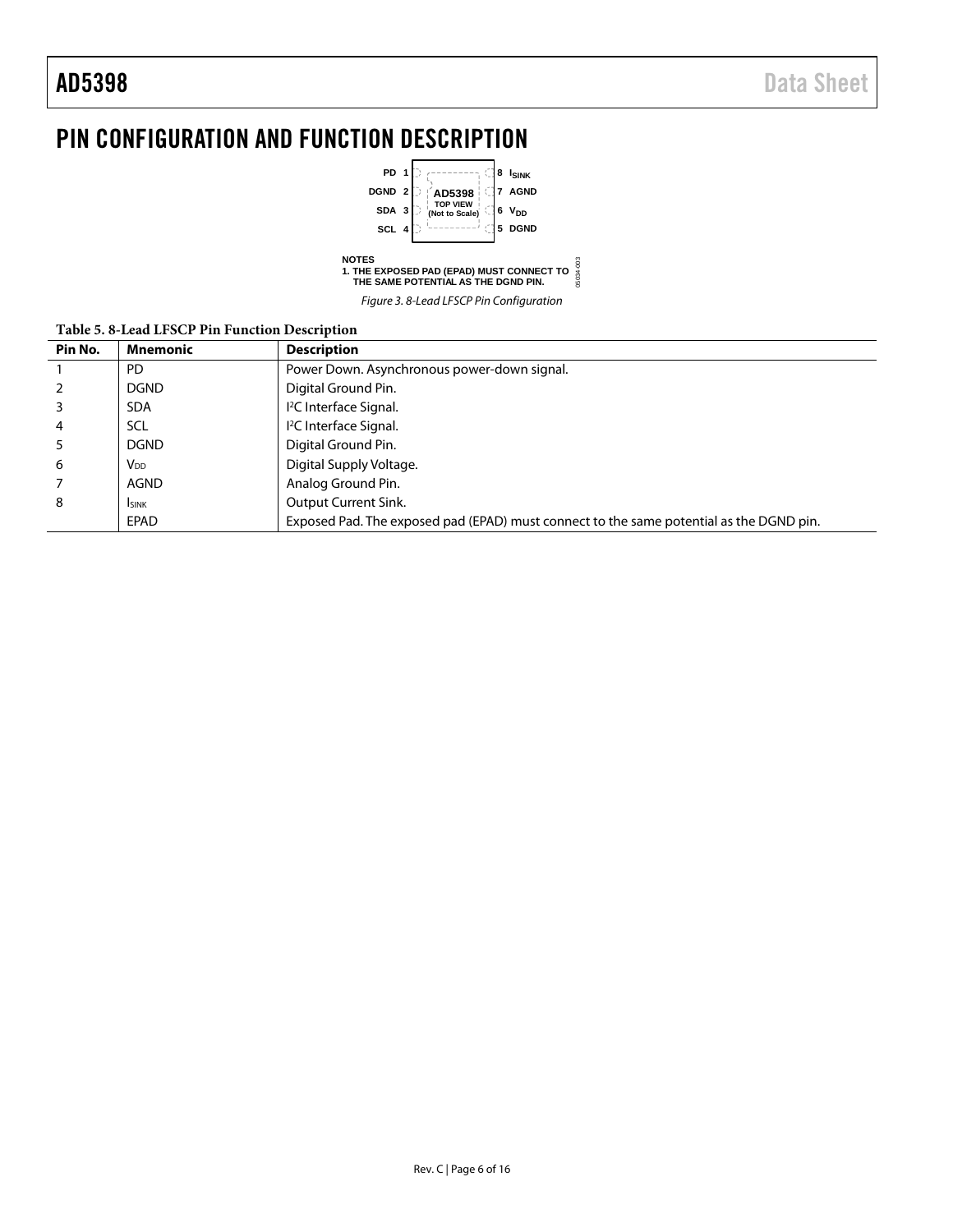l.

## <span id="page-5-0"></span>PIN CONFIGURATION AND FUNCTION DESCRIPTION



Figure 3. 8-Lead LFSCP Pin Configuration

05034-003

#### **Table 5. 8-Lead LFSCP Pin Function Description**

|         | Table 5. 6-Leau LFSCF FIII Function Description |                                                                                         |  |  |  |  |  |  |  |  |
|---------|-------------------------------------------------|-----------------------------------------------------------------------------------------|--|--|--|--|--|--|--|--|
| Pin No. | <b>Mnemonic</b>                                 | <b>Description</b>                                                                      |  |  |  |  |  |  |  |  |
|         | PD.                                             | Power Down. Asynchronous power-down signal.                                             |  |  |  |  |  |  |  |  |
|         | <b>DGND</b>                                     | Digital Ground Pin.                                                                     |  |  |  |  |  |  |  |  |
|         | <b>SDA</b>                                      | I <sup>2</sup> C Interface Signal.                                                      |  |  |  |  |  |  |  |  |
| 4       | <b>SCL</b>                                      | <sup>12</sup> C Interface Signal.                                                       |  |  |  |  |  |  |  |  |
|         | <b>DGND</b>                                     | Digital Ground Pin.                                                                     |  |  |  |  |  |  |  |  |
| 6       | V <sub>DD</sub>                                 | Digital Supply Voltage.                                                                 |  |  |  |  |  |  |  |  |
|         | <b>AGND</b>                                     | Analog Ground Pin.                                                                      |  |  |  |  |  |  |  |  |
| 8       | <b>I</b> SINK                                   | Output Current Sink.                                                                    |  |  |  |  |  |  |  |  |
|         | EPAD                                            | Exposed Pad. The exposed pad (EPAD) must connect to the same potential as the DGND pin. |  |  |  |  |  |  |  |  |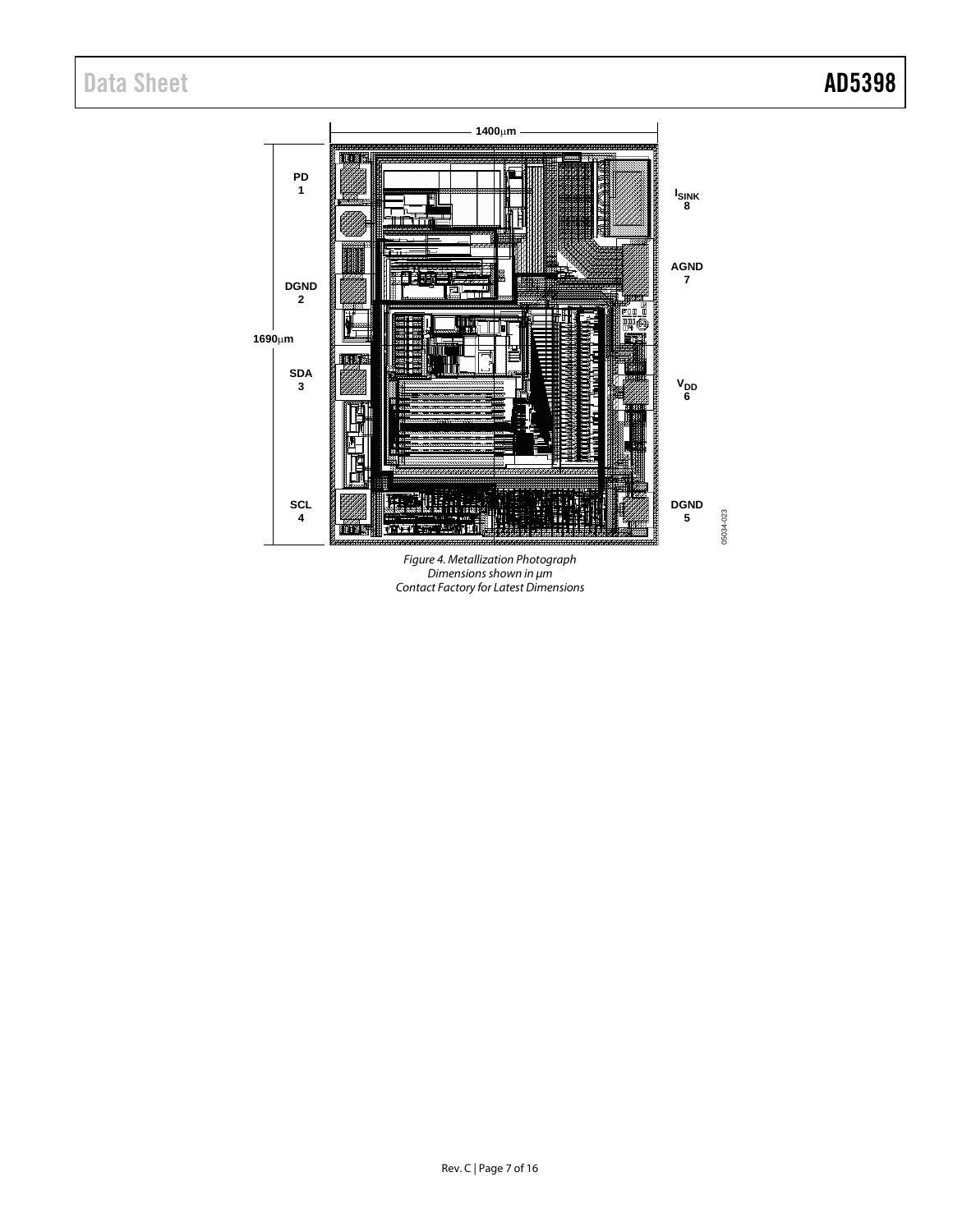## Data Sheet **AD5398**



*Figure 4. Metallization Photograph Dimensions shown in μm Contact Factory for Latest Dimensions*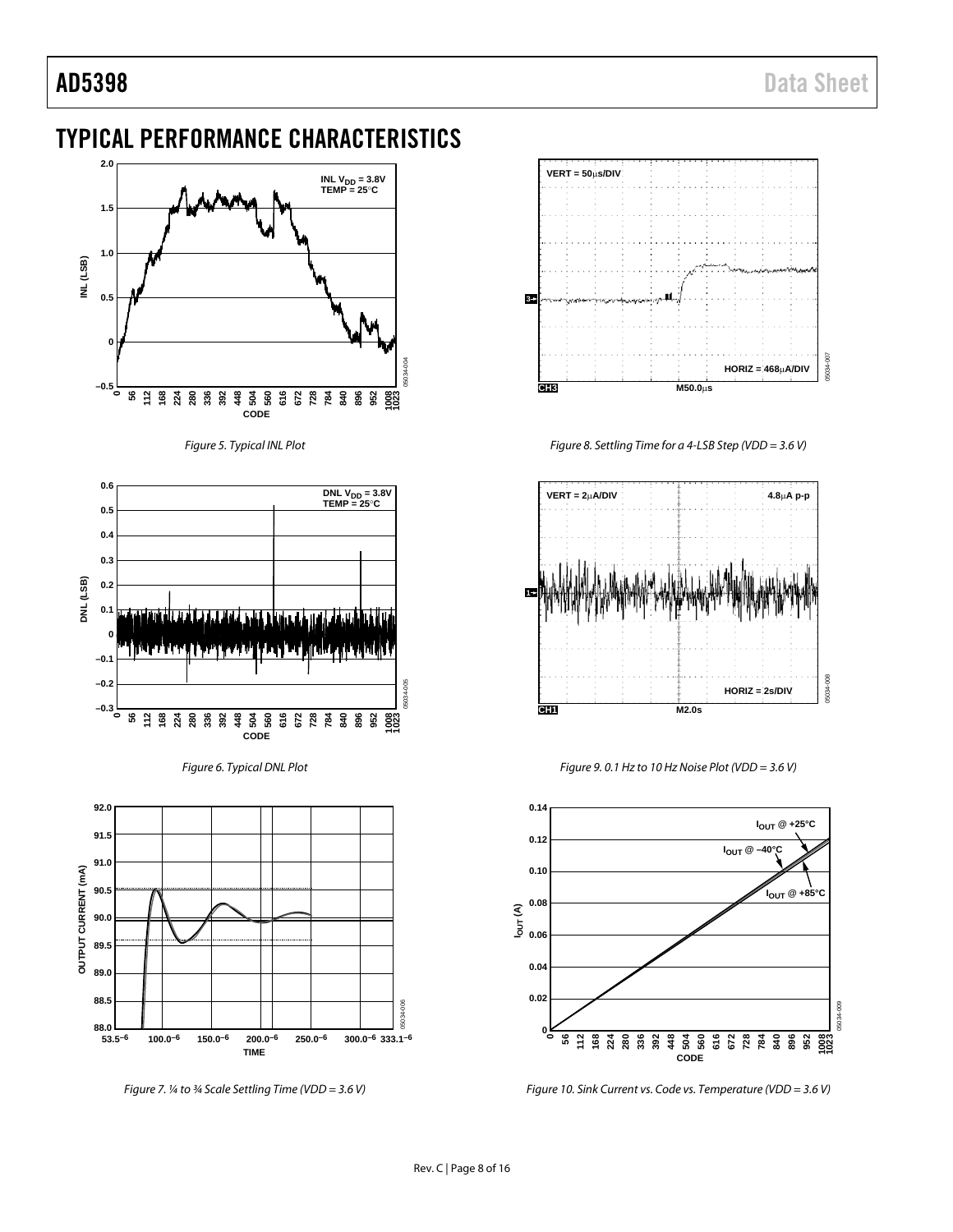### <span id="page-7-0"></span>TYPICAL PERFORMANCE CHARACTERISTICS



*Figure 5. Typical INL Plot*

<span id="page-7-1"></span>



<span id="page-7-2"></span>

*Figure 7. ¼ to ¾ Scale Settling Time (VDD = 3.6 V)*



*Figure 8. Settling Time for a 4-LSB Step (VDD = 3.6 V)*



*Figure 9. 0.1 Hz to 10 Hz Noise Plot (VDD = 3.6 V)*



*Figure 10. Sink Current vs. Code vs. Temperature (VDD = 3.6 V)*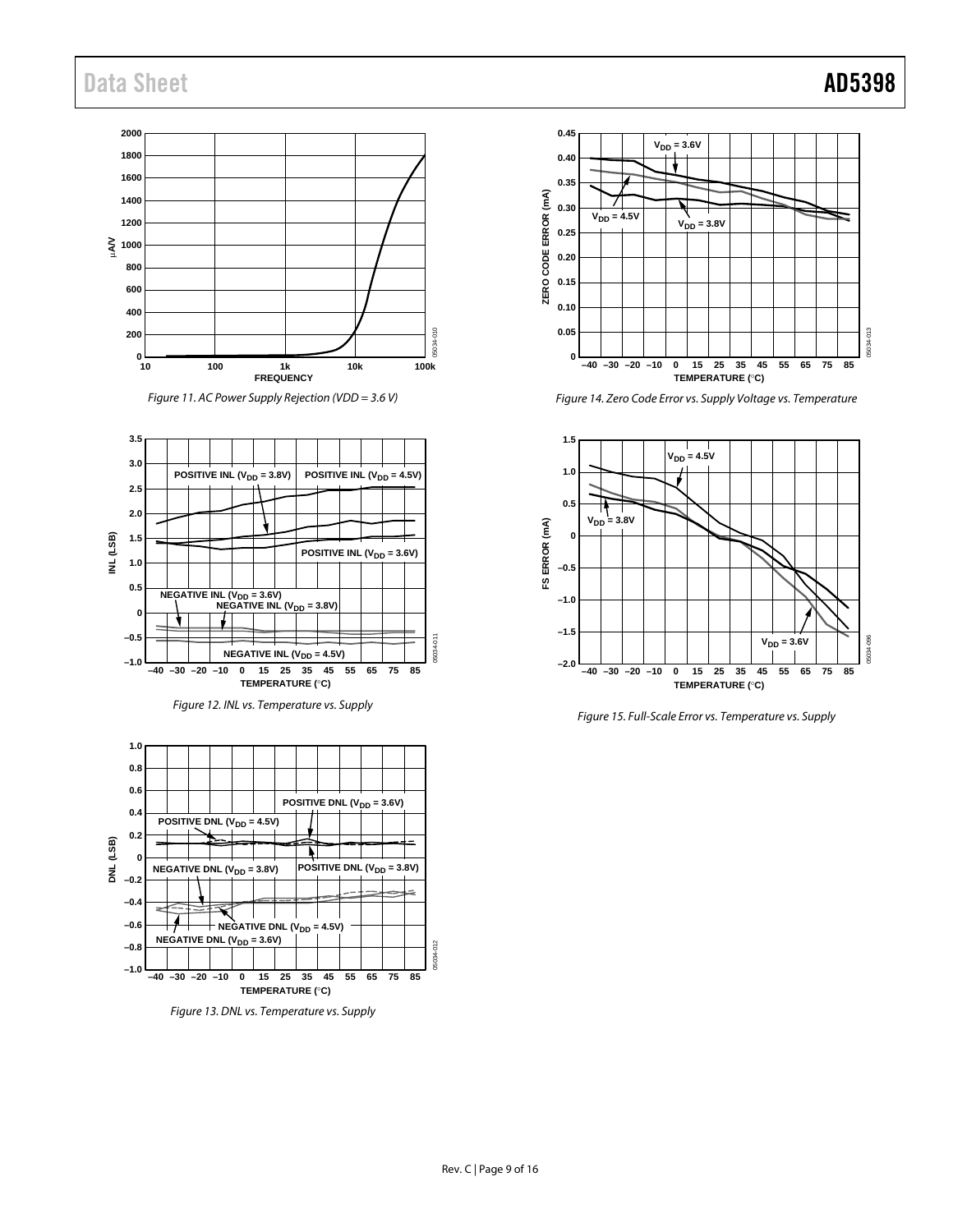## Data Sheet **AD5398**

### **2000 1800 1600 1400 1200 1000 A/V 800 600 400 200** با ہ<br>10 **10** 100 1k 10k 100k **FREQUENCY**

Figure 11. AC Power Supply Rejection (VDD = 3.6 V)







Figure 13. DNL vs. Temperature vs. Supply



Figure 14. Zero Code Error vs. Supply Voltage vs. Temperature



Figure 15. Full-Scale Error vs. Temperature vs. Supply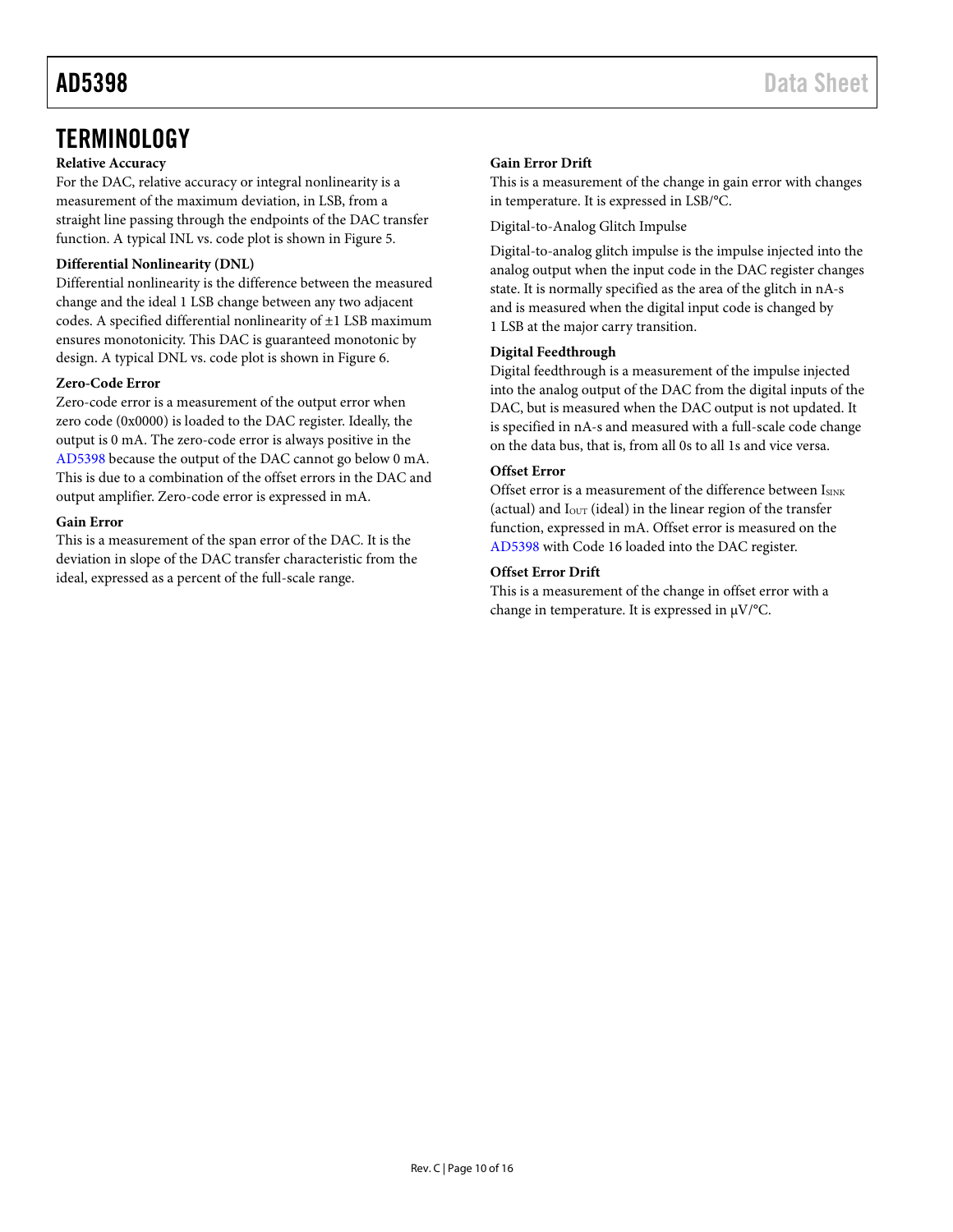### <span id="page-9-0"></span>**TERMINOLOGY**

### **Relative Accuracy**

For the DAC, relative accuracy or integral nonlinearity is a measurement of the maximum deviation, in LSB, from a straight line passing through the endpoints of the DAC transfer function. A typical INL vs. code plot is shown i[n Figure 5.](#page-7-1)

### **Differential Nonlinearity (DNL)**

Differential nonlinearity is the difference between the measured change and the ideal 1 LSB change between any two adjacent codes. A specified differential nonlinearity of ±1 LSB maximum ensures monotonicity. This DAC is guaranteed monotonic by design. A typical DNL vs. code plot is shown in [Figure 6.](#page-7-2)

### **Zero-Code Error**

Zero-code error is a measurement of the output error when zero code (0x0000) is loaded to the DAC register. Ideally, the output is 0 mA. The zero-code error is always positive in the [AD5398](http://www.analog.com/AD5398?doc=AD5398.pdf) because the output of the DAC cannot go below 0 mA. This is due to a combination of the offset errors in the DAC and output amplifier. Zero-code error is expressed in mA.

### **Gain Error**

This is a measurement of the span error of the DAC. It is the deviation in slope of the DAC transfer characteristic from the ideal, expressed as a percent of the full-scale range.

### **Gain Error Drift**

This is a measurement of the change in gain error with changes in temperature. It is expressed in LSB/°C.

Digital-to-Analog Glitch Impulse

Digital-to-analog glitch impulse is the impulse injected into the analog output when the input code in the DAC register changes state. It is normally specified as the area of the glitch in nA-s and is measured when the digital input code is changed by 1 LSB at the major carry transition.

### **Digital Feedthrough**

Digital feedthrough is a measurement of the impulse injected into the analog output of the DAC from the digital inputs of the DAC, but is measured when the DAC output is not updated. It is specified in nA-s and measured with a full-scale code change on the data bus, that is, from all 0s to all 1s and vice versa.

### **Offset Error**

Offset error is a measurement of the difference between ISINK (actual) and  $I_{\text{OUT}}$  (ideal) in the linear region of the transfer function, expressed in mA. Offset error is measured on the [AD5398](http://www.analog.com/AD5398?doc=AD5398.pdf) with Code 16 loaded into the DAC register.

### **Offset Error Drift**

This is a measurement of the change in offset error with a change in temperature. It is expressed in  $\mu$ V/°C.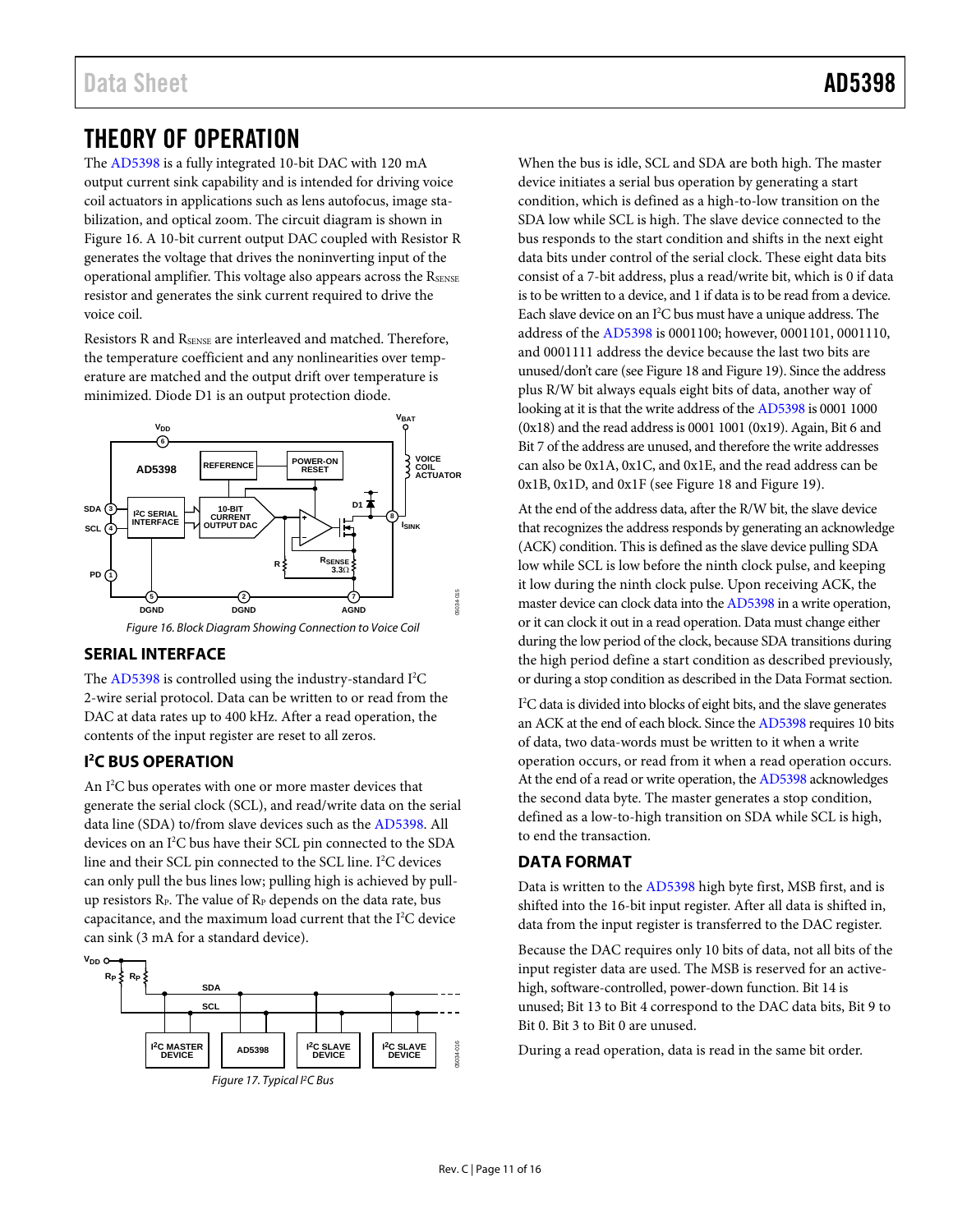<span id="page-10-0"></span>The [AD5398 i](http://www.analog.com/AD5398?doc=AD5398.pdf)s a fully integrated 10-bit DAC with 120 mA output current sink capability and is intended for driving voice coil actuators in applications such as lens autofocus, image stabilization, and optical zoom. The circuit diagram is shown in [Figure 16.](#page-10-4) A 10-bit current output DAC coupled with Resistor R generates the voltage that drives the noninverting input of the operational amplifier. This voltage also appears across the RSENSE resistor and generates the sink current required to drive the voice coil.

Resistors R and RSENSE are interleaved and matched. Therefore, the temperature coefficient and any nonlinearities over temperature are matched and the output drift over temperature is minimized. Diode D1 is an output protection diode.



Figure 16. Block Diagram Showing Connection to Voice Coil

### <span id="page-10-4"></span><span id="page-10-1"></span>**SERIAL INTERFACE**

The [AD5398 i](http://www.analog.com/AD5398?doc=AD5398.pdf)s controlled using the industry-standard I<sup>2</sup>C 2-wire serial protocol. Data can be written to or read from the DAC at data rates up to 400 kHz. After a read operation, the contents of the input register are reset to all zeros.

### <span id="page-10-2"></span>**I 2 C BUS OPERATION**

An I<sup>2</sup>C bus operates with one or more master devices that generate the serial clock (SCL), and read/write data on the serial data line (SDA) to/from slave devices such as th[e AD5398.](http://www.analog.com/AD5398?doc=AD5398.pdf) All devices on an I2 C bus have their SCL pin connected to the SDA line and their SCL pin connected to the SCL line. I<sup>2</sup>C devices can only pull the bus lines low; pulling high is achieved by pullup resistors  $R_P$ . The value of  $R_P$  depends on the data rate, bus capacitance, and the maximum load current that the I<sup>2</sup>C device can sink (3 mA for a standard device).



Figure 17. Typical I<sup>2</sup>C Bus

When the bus is idle, SCL and SDA are both high. The master device initiates a serial bus operation by generating a start condition, which is defined as a high-to-low transition on the SDA low while SCL is high. The slave device connected to the bus responds to the start condition and shifts in the next eight data bits under control of the serial clock. These eight data bits consist of a 7-bit address, plus a read/write bit, which is 0 if data is to be written to a device, and 1 if data is to be read from a device. Each slave device on an I<sup>2</sup>C bus must have a unique address. The address of th[e AD5398 i](http://www.analog.com/AD5398?doc=AD5398.pdf)s 0001100; however, 0001101, 0001110, and 0001111 address the device because the last two bits are unused/don't care (se[e Figure 18 a](#page-11-0)n[d Figure 19\)](#page-11-1). Since the address plus R/W bit always equals eight bits of data, another way of looking at it is that the write address of th[e AD5398 i](http://www.analog.com/AD5398?doc=AD5398.pdf)s 0001 1000 (0x18) and the read address is 0001 1001 (0x19). Again, Bit 6 and Bit 7 of the address are unused, and therefore the write addresses can also be 0x1A, 0x1C, and 0x1E, and the read address can be 0x1B, 0x1D, and 0x1F (se[e Figure 18 a](#page-11-0)nd [Figure 19\)](#page-11-1).

At the end of the address data, after the R/W bit, the slave device that recognizes the address responds by generating an acknowledge (ACK) condition. This is defined as the slave device pulling SDA low while SCL is low before the ninth clock pulse, and keeping it low during the ninth clock pulse. Upon receiving ACK, the master device can clock data into th[e AD5398 i](http://www.analog.com/AD5398?doc=AD5398.pdf)n a write operation, or it can clock it out in a read operation. Data must change either during the low period of the clock, because SDA transitions during the high period define a start condition as described previously, or during a stop condition as described in th[e Data Format s](#page-10-3)ection.

I 2 C data is divided into blocks of eight bits, and the slave generates an ACK at the end of each block. Since th[e AD5398 r](http://www.analog.com/AD5398?doc=AD5398.pdf)equires 10 bits of data, two data-words must be written to it when a write operation occurs, or read from it when a read operation occurs. At the end of a read or write operation, th[e AD5398 a](http://www.analog.com/AD5398?doc=AD5398.pdf)cknowledges the second data byte. The master generates a stop condition, defined as a low-to-high transition on SDA while SCL is high, to end the transaction.

### <span id="page-10-3"></span>**DATA FORMAT**

Data is written to the [AD5398 h](http://www.analog.com/AD5398?doc=AD5398.pdf)igh byte first, MSB first, and is shifted into the 16-bit input register. After all data is shifted in, data from the input register is transferred to the DAC register.

Because the DAC requires only 10 bits of data, not all bits of the input register data are used. The MSB is reserved for an activehigh, software-controlled, power-down function. Bit 14 is unused; Bit 13 to Bit 4 correspond to the DAC data bits, Bit 9 to Bit 0. Bit 3 to Bit 0 are unused.

During a read operation, data is read in the same bit order.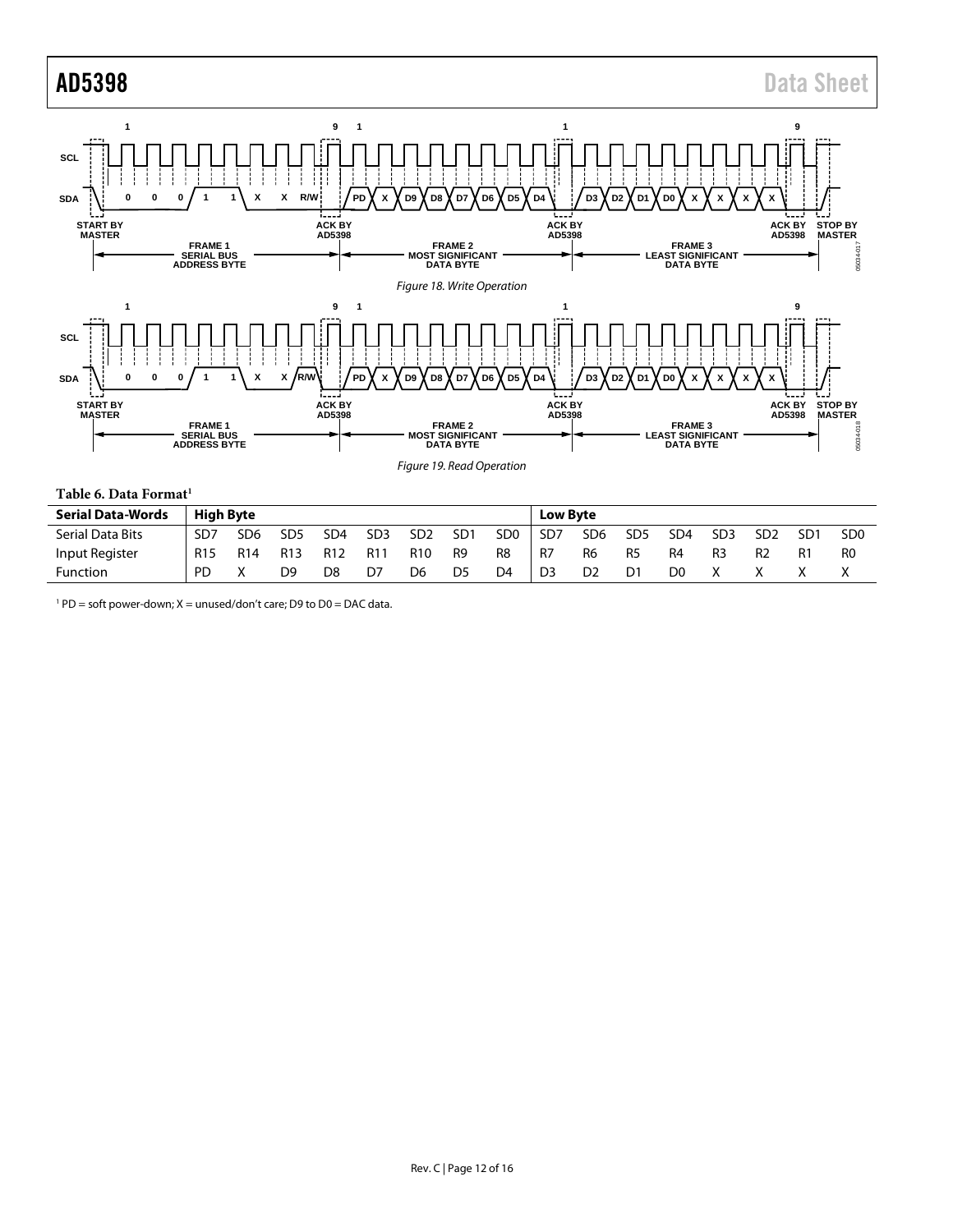<span id="page-11-0"></span>

<span id="page-11-1"></span>

|  |  |  | Table 6. Data Format <sup>1</sup> |
|--|--|--|-----------------------------------|
|--|--|--|-----------------------------------|

| <b>Serial Data-Words</b> | <b>High Byte</b> |                 |                 |                 |                 |                 |                 |                 | <b>Low Byte</b> |                |                 |                 |                 |                 |                 |                 |
|--------------------------|------------------|-----------------|-----------------|-----------------|-----------------|-----------------|-----------------|-----------------|-----------------|----------------|-----------------|-----------------|-----------------|-----------------|-----------------|-----------------|
| Serial Data Bits         | SD <sub>7</sub>  | SD <sub>6</sub> | SD <sub>5</sub> | SD <sub>4</sub> | SD <sub>3</sub> | SD <sub>2</sub> | SD <sub>1</sub> | SD <sub>0</sub> | SD <sub>7</sub> | SD6            | SD <sub>5</sub> | SD <sub>4</sub> | SD <sub>3</sub> | SD <sub>2</sub> | SD <sub>1</sub> | SD <sub>0</sub> |
| Input Register           | R <sub>15</sub>  | R <sub>14</sub> | R <sub>13</sub> | R <sub>12</sub> | R1              | R10             | R9              | R8              | -R7             | R6             | R <sub>5</sub>  | R4              | R <sub>3</sub>  | R <sub>2</sub>  | R1              | R0              |
| Function                 | <b>PD</b>        |                 | D9              | D8              | D7              | D6              | D5              | D4              | D3              | D <sub>2</sub> | D1              | D0              |                 |                 |                 |                 |

 $1$  PD = soft power-down; X = unused/don't care; D9 to D0 = DAC data.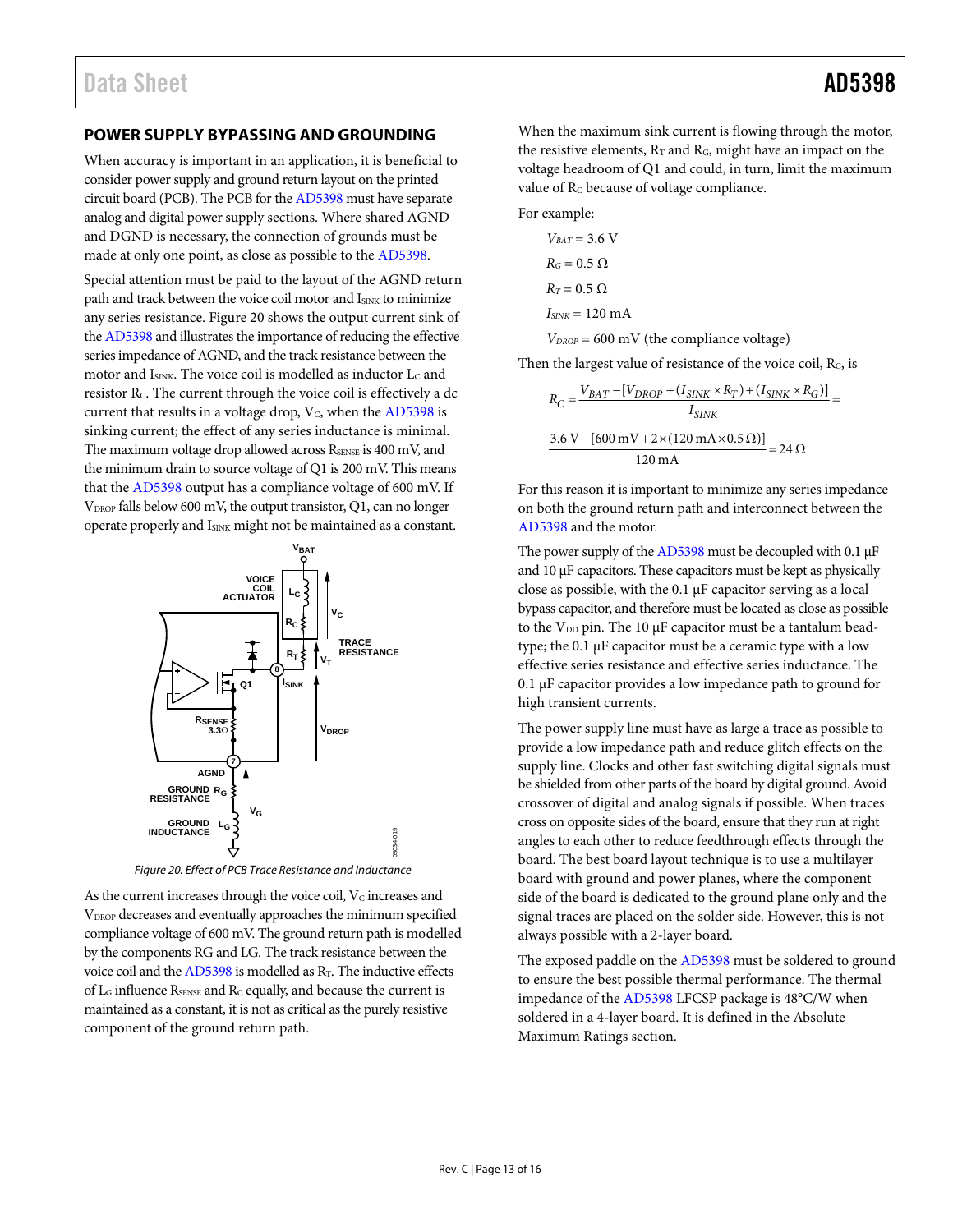### <span id="page-12-0"></span>**POWER SUPPLY BYPASSING AND GROUNDING**

When accuracy is important in an application, it is beneficial to consider power supply and ground return layout on the printed circuit board (PCB). The PCB for th[e AD5398 m](http://www.analog.com/AD5398?doc=AD5398.pdf)ust have separate analog and digital power supply sections. Where shared AGND and DGND is necessary, the connection of grounds must be made at only one point, as close as possible to the [AD5398.](http://www.analog.com/AD5398?doc=AD5398.pdf) 

Special attention must be paid to the layout of the AGND return path and track between the voice coil motor and ISINK to minimize any series resistance[. Figure 20](#page-12-1) shows the output current sink of th[e AD5398 a](http://www.analog.com/AD5398?doc=AD5398.pdf)nd illustrates the importance of reducing the effective series impedance of AGND, and the track resistance between the motor and ISINK. The voice coil is modelled as inductor Lc and resistor R<sub>C</sub>. The current through the voice coil is effectively a dc current that results in a voltage drop,  $V_c$ , when th[e AD5398](http://www.analog.com/AD5398?doc=AD5398.pdf) is sinking current; the effect of any series inductance is minimal. The maximum voltage drop allowed across  $R_{\text{SENSE}}$  is 400 mV, and the minimum drain to source voltage of Q1 is 200 mV. This means that the [AD5398](http://www.analog.com/AD5398?doc=AD5398.pdf) output has a compliance voltage of 600 mV. If V<sub>DROP</sub> falls below 600 mV, the output transistor, Q1, can no longer operate properly and I<sub>SINK</sub> might not be maintained as a constant.



Figure 20. Effect of PCB Trace Resistance and Inductance

<span id="page-12-1"></span>As the current increases through the voice coil,  $V<sub>C</sub>$  increases and VDROP decreases and eventually approaches the minimum specified compliance voltage of 600 mV. The ground return path is modelled by the components RG and LG. The track resistance between the voice coil and the  $AD5398$  is modelled as  $R<sub>T</sub>$ . The inductive effects of LG influence RSENSE and RC equally, and because the current is maintained as a constant, it is not as critical as the purely resistive component of the ground return path.

When the maximum sink current is flowing through the motor, the resistive elements,  $R_T$  and  $R_G$ , might have an impact on the voltage headroom of Q1 and could, in turn, limit the maximum value of Rc because of voltage compliance.

For example:

$$
V_{BAT} = 3.6 \text{ V}
$$
  

$$
R_G = 0.5 \Omega
$$
  

$$
R_T = 0.5 \Omega
$$
  

$$
I_{SINK} = 120 \text{ mA}
$$

 $V_{DROP} = 600$  mV (the compliance voltage)

Then the largest value of resistance of the voice coil, Rc, is

$$
R_C = \frac{V_{BAT} - [V_{DROP} + (I_{SINK} \times R_T) + (I_{SINK} \times R_G)]}{I_{SINK}}
$$
  
= 3.6 V - [600 mV + 2×(120 mA×0.5 Ω)]  
120 mA = 24 Ω

For this reason it is important to minimize any series impedance on both the ground return path and interconnect between the [AD5398 a](http://www.analog.com/AD5398?doc=AD5398.pdf)nd the motor.

The power supply of th[e AD5398 m](http://www.analog.com/AD5398?doc=AD5398.pdf)ust be decoupled with 0.1 μF and 10 μF capacitors. These capacitors must be kept as physically close as possible, with the 0.1 μF capacitor serving as a local bypass capacitor, and therefore must be located as close as possible to the  $V_{DD}$  pin. The 10  $\mu$ F capacitor must be a tantalum beadtype; the 0.1 μF capacitor must be a ceramic type with a low effective series resistance and effective series inductance. The 0.1 μF capacitor provides a low impedance path to ground for high transient currents.

The power supply line must have as large a trace as possible to provide a low impedance path and reduce glitch effects on the supply line. Clocks and other fast switching digital signals must be shielded from other parts of the board by digital ground. Avoid crossover of digital and analog signals if possible. When traces cross on opposite sides of the board, ensure that they run at right angles to each other to reduce feedthrough effects through the board. The best board layout technique is to use a multilayer board with ground and power planes, where the component side of the board is dedicated to the ground plane only and the signal traces are placed on the solder side. However, this is not always possible with a 2-layer board.

The exposed paddle on th[e AD5398](http://www.analog.com/AD5398?doc=AD5398.pdf) must be soldered to ground to ensure the best possible thermal performance. The thermal impedance of th[e AD5398 L](http://www.analog.com/AD5398?doc=AD5398.pdf)FCSP package is 48°C/W when soldered in a 4-layer board. It is defined in th[e Absolute](#page-4-0)  [Maximum Ratings s](#page-4-0)ection.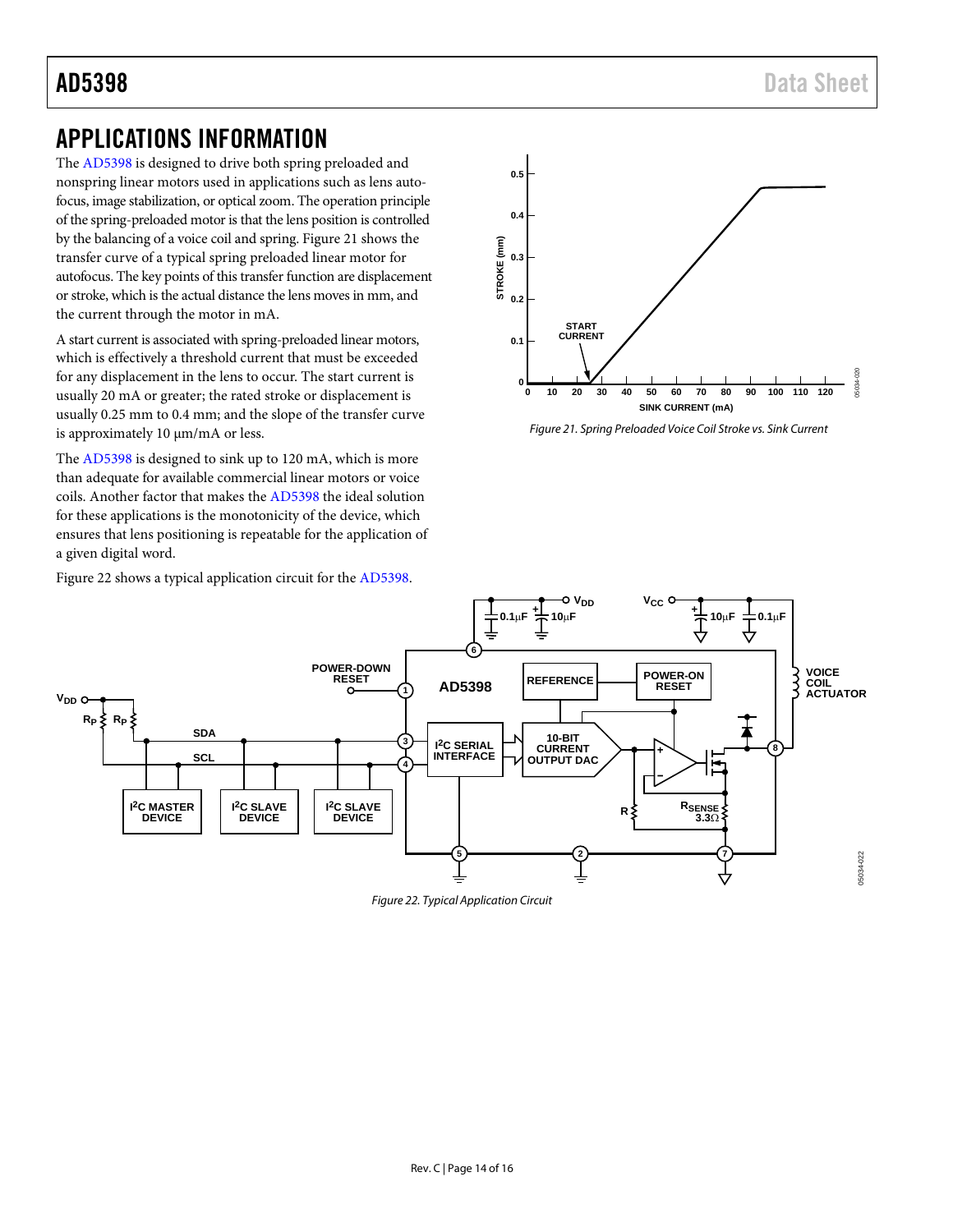## <span id="page-13-0"></span>APPLICATIONS INFORMATION

The [AD5398](http://www.analog.com/AD5398?doc=AD5398.pdf) is designed to drive both spring preloaded and nonspring linear motors used in applications such as lens autofocus, image stabilization, or optical zoom. The operation principle of the spring-preloaded motor is that the lens position is controlled by the balancing of a voice coil and spring[. Figure](#page-13-1) 21 shows the transfer curve of a typical spring preloaded linear motor for autofocus. The key points of this transfer function are displacement or stroke, which is the actual distance the lens moves in mm, and the current through the motor in mA.

A start current is associated with spring-preloaded linear motors, which is effectively a threshold current that must be exceeded for any displacement in the lens to occur. The start current is usually 20 mA or greater; the rated stroke or displacement is usually 0.25 mm to 0.4 mm; and the slope of the transfer curve is approximately 10 µm/mA or less.

The [AD5398](http://www.analog.com/AD5398?doc=AD5398.pdf) is designed to sink up to 120 mA, which is more than adequate for available commercial linear motors or voice coils. Another factor that makes th[e AD5398](http://www.analog.com/AD5398?doc=AD5398.pdf) the ideal solution for these applications is the monotonicity of the device, which ensures that lens positioning is repeatable for the application of a given digital word.

[Figure 22](#page-13-2) shows a typical application circuit for the [AD5398.](http://www.analog.com/AD5398?doc=AD5398.pdf)



<span id="page-13-1"></span>*Figure 21. Spring Preloaded Voice Coil Stroke vs. Sink Current*

<span id="page-13-2"></span>

*Figure 22. Typical Application Circuit*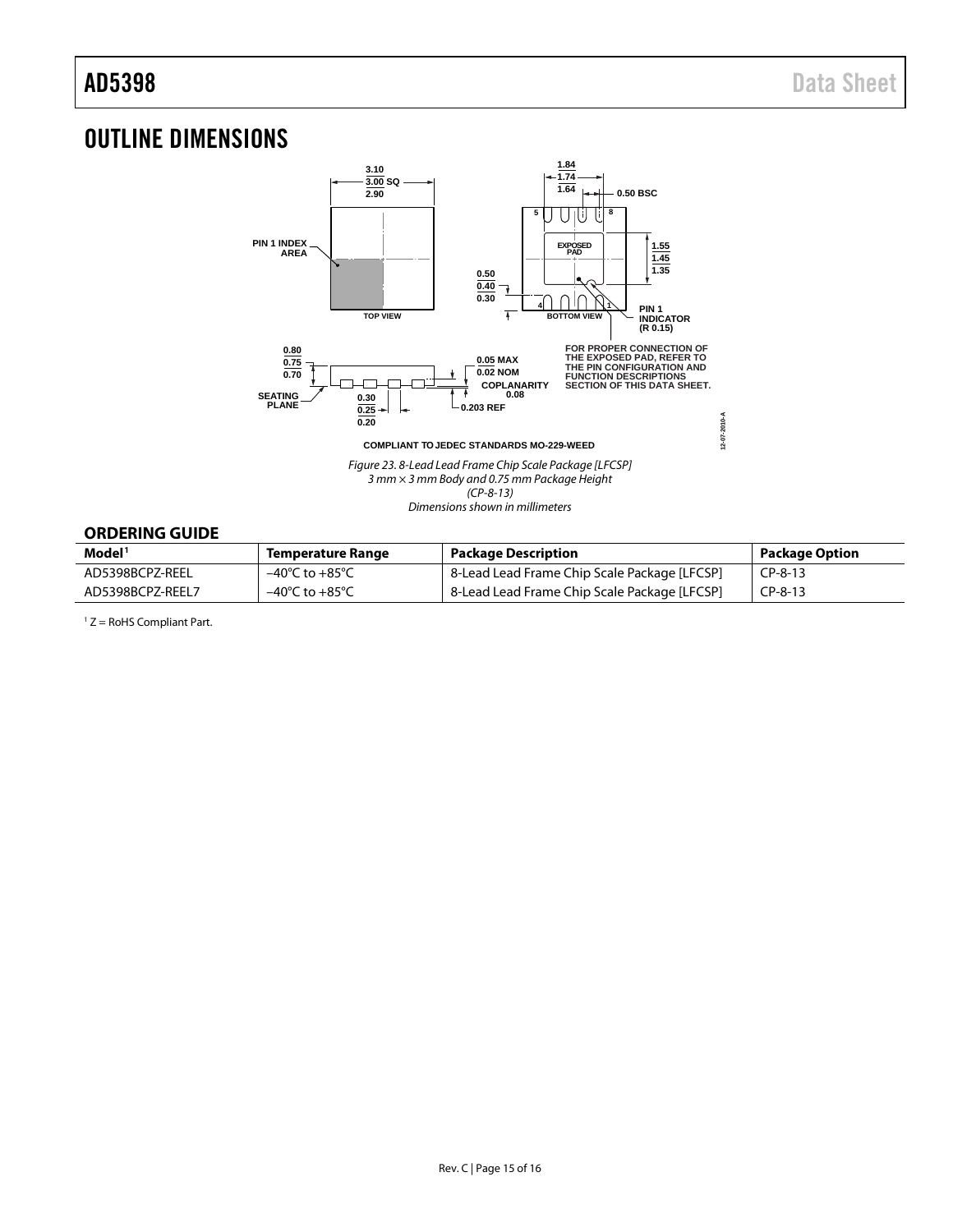## <span id="page-14-0"></span>OUTLINE DIMENSIONS



*Figure 23. 8-Lead Lead Frame Chip Scale Package [LFCSP] 3 mm × 3 mm Body and 0.75 mm Package Height (CP-8-13) Dimensions shown in millimeters*

### <span id="page-14-1"></span>**ORDERING GUIDE**

| Model <sup>1</sup> | Temperature Range                  | <b>Package Description</b>                   | Package Option |
|--------------------|------------------------------------|----------------------------------------------|----------------|
| AD5398BCPZ-REEL    | $-40^{\circ}$ C to $+85^{\circ}$ C | 8-Lead Lead Frame Chip Scale Package [LFCSP] | $CP-8-13$      |
| AD5398BCPZ-REEL7   | $-40^{\circ}$ C to $+85^{\circ}$ C | 8-Lead Lead Frame Chip Scale Package [LFCSP] | $CP-8-13$      |

 $1 Z =$  RoHS Compliant Part.